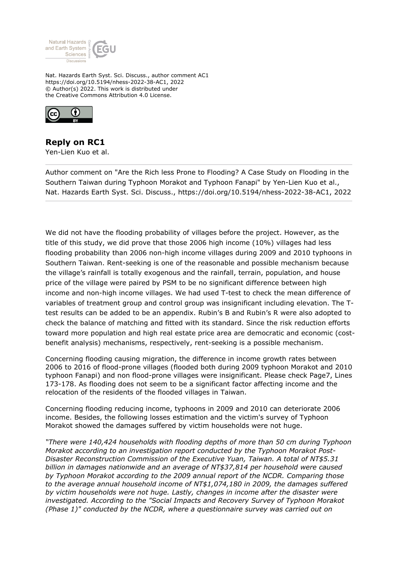

Nat. Hazards Earth Syst. Sci. Discuss., author comment AC1 https://doi.org/10.5194/nhess-2022-38-AC1, 2022 © Author(s) 2022. This work is distributed under the Creative Commons Attribution 4.0 License.



**Reply on RC1** Yen-Lien Kuo et al.

Author comment on "Are the Rich less Prone to Flooding? A Case Study on Flooding in the Southern Taiwan during Typhoon Morakot and Typhoon Fanapi" by Yen-Lien Kuo et al., Nat. Hazards Earth Syst. Sci. Discuss., https://doi.org/10.5194/nhess-2022-38-AC1, 2022

We did not have the flooding probability of villages before the project. However, as the title of this study, we did prove that those 2006 high income (10%) villages had less flooding probability than 2006 non-high income villages during 2009 and 2010 typhoons in Southern Taiwan. Rent-seeking is one of the reasonable and possible mechanism because the village's rainfall is totally exogenous and the rainfall, terrain, population, and house price of the village were paired by PSM to be no significant difference between high income and non-high income villages. We had used T-test to check the mean difference of variables of treatment group and control group was insignificant including elevation. The Ttest results can be added to be an appendix. Rubin's B and Rubin's R were also adopted to check the balance of matching and fitted with its standard. Since the risk reduction efforts toward more population and high real estate price area are democratic and economic (costbenefit analysis) mechanisms, respectively, rent-seeking is a possible mechanism.

Concerning flooding causing migration, the difference in income growth rates between 2006 to 2016 of flood-prone villages (flooded both during 2009 typhoon Morakot and 2010 typhoon Fanapi) and non flood-prone villages were insignificant. Please check Page7, Lines 173-178. As flooding does not seem to be a significant factor affecting income and the relocation of the residents of the flooded villages in Taiwan.

Concerning flooding reducing income, typhoons in 2009 and 2010 can deteriorate 2006 income. Besides, the following losses estimation and the victim's survey of Typhoon Morakot showed the damages suffered by victim households were not huge.

*"There were 140,424 households with flooding depths of more than 50 cm during Typhoon Morakot according to an investigation report conducted by the Typhoon Morakot Post-Disaster Reconstruction Commission of the Executive Yuan, Taiwan. A total of NT\$5.31 billion in damages nationwide and an average of NT\$37,814 per household were caused by Typhoon Morakot according to the 2009 annual report of the NCDR. Comparing those to the average annual household income of NT\$1,074,180 in 2009, the damages suffered by victim households were not huge. Lastly, changes in income after the disaster were investigated. According to the "Social Impacts and Recovery Survey of Typhoon Morakot (Phase 1)" conducted by the NCDR, where a questionnaire survey was carried out on*